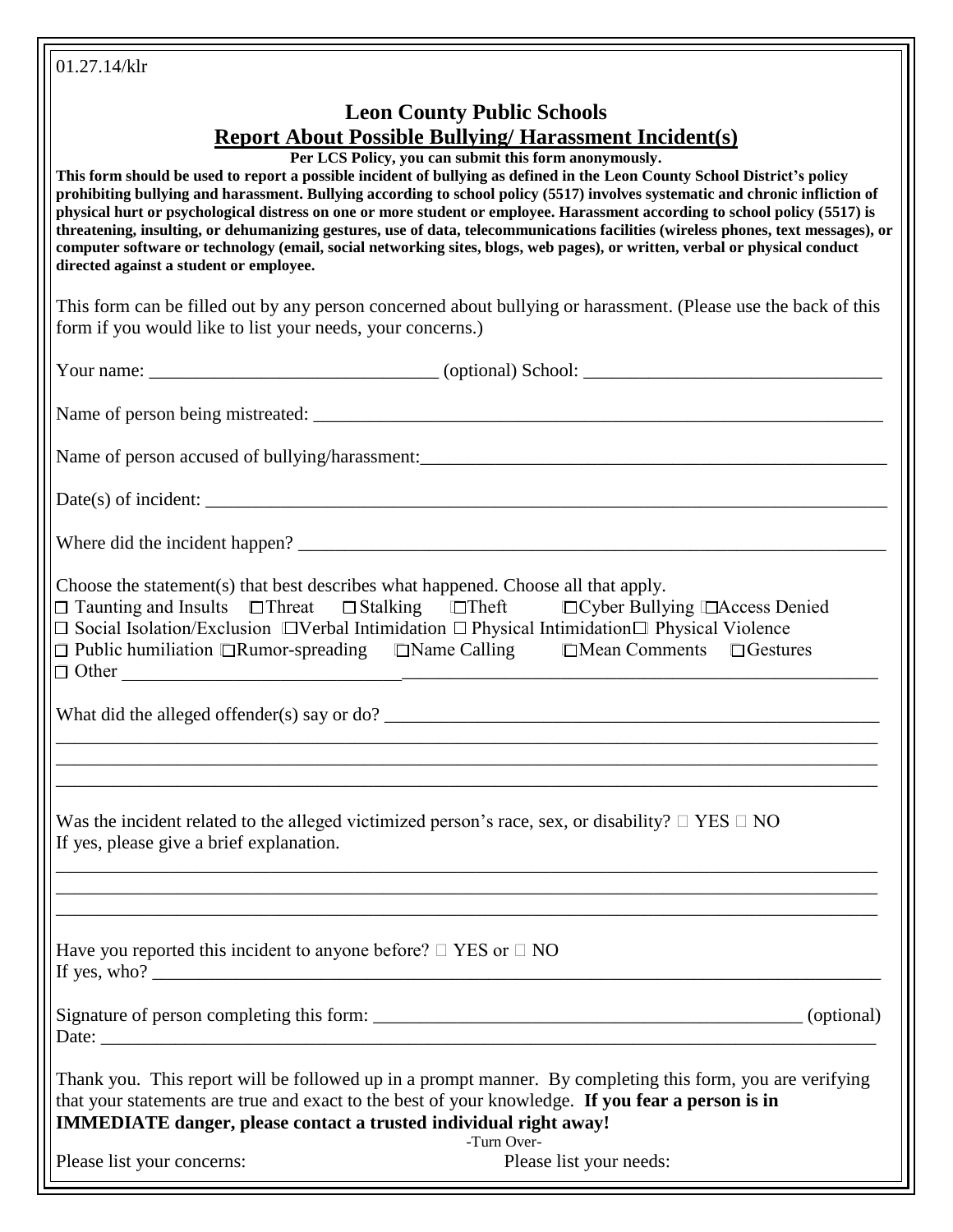| 01.27.14/klr                                                                                                                                                                                                                                                                                                                                                                                                                                                                                                                                                                                                                                                                                                                                                                                                                                                          |  |
|-----------------------------------------------------------------------------------------------------------------------------------------------------------------------------------------------------------------------------------------------------------------------------------------------------------------------------------------------------------------------------------------------------------------------------------------------------------------------------------------------------------------------------------------------------------------------------------------------------------------------------------------------------------------------------------------------------------------------------------------------------------------------------------------------------------------------------------------------------------------------|--|
| <b>Leon County Public Schools</b><br><b>Report About Possible Bullying/Harassment Incident(s)</b><br>Per LCS Policy, you can submit this form anonymously.<br>This form should be used to report a possible incident of bullying as defined in the Leon County School District's policy<br>prohibiting bullying and harassment. Bullying according to school policy (5517) involves systematic and chronic infliction of<br>physical hurt or psychological distress on one or more student or employee. Harassment according to school policy (5517) is<br>threatening, insulting, or dehumanizing gestures, use of data, telecommunications facilities (wireless phones, text messages), or<br>computer software or technology (email, social networking sites, blogs, web pages), or written, verbal or physical conduct<br>directed against a student or employee. |  |
| This form can be filled out by any person concerned about bullying or harassment. (Please use the back of this<br>form if you would like to list your needs, your concerns.)                                                                                                                                                                                                                                                                                                                                                                                                                                                                                                                                                                                                                                                                                          |  |
|                                                                                                                                                                                                                                                                                                                                                                                                                                                                                                                                                                                                                                                                                                                                                                                                                                                                       |  |
|                                                                                                                                                                                                                                                                                                                                                                                                                                                                                                                                                                                                                                                                                                                                                                                                                                                                       |  |
|                                                                                                                                                                                                                                                                                                                                                                                                                                                                                                                                                                                                                                                                                                                                                                                                                                                                       |  |
| Date(s) of incident: $\frac{1}{\sqrt{1-\frac{1}{\sqrt{1-\frac{1}{\sqrt{1-\frac{1}{\sqrt{1-\frac{1}{\sqrt{1-\frac{1}{\sqrt{1-\frac{1}{\sqrt{1-\frac{1}{\sqrt{1-\frac{1}{\sqrt{1-\frac{1}{\sqrt{1-\frac{1}{\sqrt{1-\frac{1}{\sqrt{1-\frac{1}{\sqrt{1-\frac{1}{\sqrt{1-\frac{1}{\sqrt{1-\frac{1}{\sqrt{1-\frac{1}{\sqrt{1-\frac{1}{\sqrt{1-\frac{1}{\sqrt{1-\frac{1}{\sqrt{1-\frac{1}{\sqrt{1-\frac{1}{\sqrt{1-\$                                                                                                                                                                                                                                                                                                                                                                                                                                                        |  |
|                                                                                                                                                                                                                                                                                                                                                                                                                                                                                                                                                                                                                                                                                                                                                                                                                                                                       |  |
| Choose the statement(s) that best describes what happened. Choose all that apply.<br>$\Box$ Taunting and Insults $\Box$ Threat $\Box$ Stalking $\Box$ Theft $\Box$ Cyber Bullying $\Box$ Access Denied<br>$\Box$ Social Isolation/Exclusion $\Box$ Verbal Intimidation $\Box$ Physical Intimidation $\Box$ Physical Violence<br>$\Box$ Other                                                                                                                                                                                                                                                                                                                                                                                                                                                                                                                          |  |
| What did the alleged offender(s) say or $do?$                                                                                                                                                                                                                                                                                                                                                                                                                                                                                                                                                                                                                                                                                                                                                                                                                         |  |
|                                                                                                                                                                                                                                                                                                                                                                                                                                                                                                                                                                                                                                                                                                                                                                                                                                                                       |  |
|                                                                                                                                                                                                                                                                                                                                                                                                                                                                                                                                                                                                                                                                                                                                                                                                                                                                       |  |
| Was the incident related to the alleged victimized person's race, sex, or disability? $\Box$ YES $\Box$ NO<br>If yes, please give a brief explanation.                                                                                                                                                                                                                                                                                                                                                                                                                                                                                                                                                                                                                                                                                                                |  |
|                                                                                                                                                                                                                                                                                                                                                                                                                                                                                                                                                                                                                                                                                                                                                                                                                                                                       |  |
| Have you reported this incident to anyone before? $\Box$ YES or $\Box$ NO                                                                                                                                                                                                                                                                                                                                                                                                                                                                                                                                                                                                                                                                                                                                                                                             |  |
|                                                                                                                                                                                                                                                                                                                                                                                                                                                                                                                                                                                                                                                                                                                                                                                                                                                                       |  |
| Thank you. This report will be followed up in a prompt manner. By completing this form, you are verifying<br>that your statements are true and exact to the best of your knowledge. If you fear a person is in<br><b>IMMEDIATE danger, please contact a trusted individual right away!</b><br>-Turn Over-                                                                                                                                                                                                                                                                                                                                                                                                                                                                                                                                                             |  |
| Please list your needs:<br>Please list your concerns:                                                                                                                                                                                                                                                                                                                                                                                                                                                                                                                                                                                                                                                                                                                                                                                                                 |  |